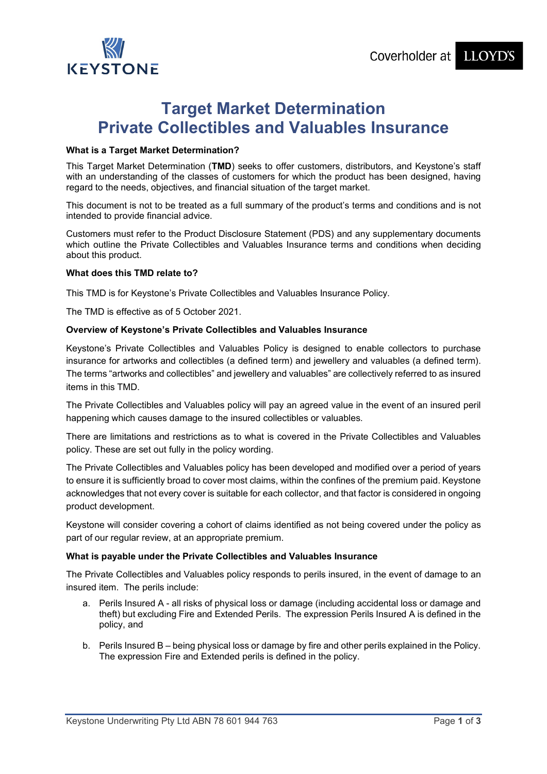

# **Target Market Determination Private Collectibles and Valuables Insurance**

## **What is a Target Market Determination?**

This Target Market Determination (**TMD**) seeks to offer customers, distributors, and Keystone's staff with an understanding of the classes of customers for which the product has been designed, having regard to the needs, objectives, and financial situation of the target market.

This document is not to be treated as a full summary of the product's terms and conditions and is not intended to provide financial advice.

Customers must refer to the Product Disclosure Statement (PDS) and any supplementary documents which outline the Private Collectibles and Valuables Insurance terms and conditions when deciding about this product.

## **What does this TMD relate to?**

This TMD is for Keystone's Private Collectibles and Valuables Insurance Policy.

The TMD is effective as of 5 October 2021.

## **Overview of Keystone's Private Collectibles and Valuables Insurance**

Keystone's Private Collectibles and Valuables Policy is designed to enable collectors to purchase insurance for artworks and collectibles (a defined term) and jewellery and valuables (a defined term). The terms "artworks and collectibles" and jewellery and valuables" are collectively referred to as insured items in this TMD.

The Private Collectibles and Valuables policy will pay an agreed value in the event of an insured peril happening which causes damage to the insured collectibles or valuables.

There are limitations and restrictions as to what is covered in the Private Collectibles and Valuables policy. These are set out fully in the policy wording.

The Private Collectibles and Valuables policy has been developed and modified over a period of years to ensure it is sufficiently broad to cover most claims, within the confines of the premium paid. Keystone acknowledges that not every cover is suitable for each collector, and that factor is considered in ongoing product development.

Keystone will consider covering a cohort of claims identified as not being covered under the policy as part of our regular review, at an appropriate premium.

#### **What is payable under the Private Collectibles and Valuables Insurance**

The Private Collectibles and Valuables policy responds to perils insured, in the event of damage to an insured item. The perils include:

- a. Perils Insured A all risks of physical loss or damage (including accidental loss or damage and theft) but excluding Fire and Extended Perils. The expression Perils Insured A is defined in the policy, and
- b. Perils Insured B being physical loss or damage by fire and other perils explained in the Policy. The expression Fire and Extended perils is defined in the policy.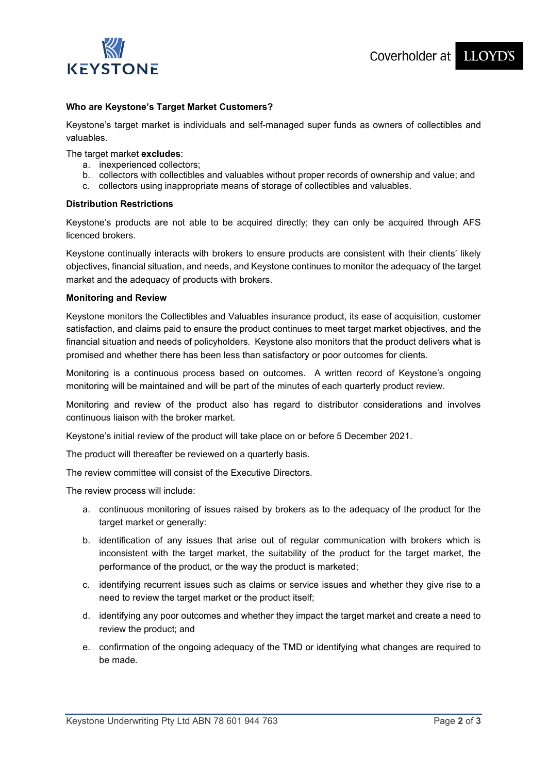

# **Who are Keystone's Target Market Customers?**

Keystone's target market is individuals and self-managed super funds as owners of collectibles and valuables.

#### The target market **excludes**:

- a. inexperienced collectors;
- b. collectors with collectibles and valuables without proper records of ownership and value; and
- c. collectors using inappropriate means of storage of collectibles and valuables.

#### **Distribution Restrictions**

Keystone's products are not able to be acquired directly; they can only be acquired through AFS licenced brokers.

Keystone continually interacts with brokers to ensure products are consistent with their clients' likely objectives, financial situation, and needs, and Keystone continues to monitor the adequacy of the target market and the adequacy of products with brokers.

## **Monitoring and Review**

Keystone monitors the Collectibles and Valuables insurance product, its ease of acquisition, customer satisfaction, and claims paid to ensure the product continues to meet target market objectives, and the financial situation and needs of policyholders. Keystone also monitors that the product delivers what is promised and whether there has been less than satisfactory or poor outcomes for clients.

Monitoring is a continuous process based on outcomes. A written record of Keystone's ongoing monitoring will be maintained and will be part of the minutes of each quarterly product review.

Monitoring and review of the product also has regard to distributor considerations and involves continuous liaison with the broker market.

Keystone's initial review of the product will take place on or before 5 December 2021.

The product will thereafter be reviewed on a quarterly basis.

The review committee will consist of the Executive Directors.

The review process will include:

- a. continuous monitoring of issues raised by brokers as to the adequacy of the product for the target market or generally:
- b. identification of any issues that arise out of regular communication with brokers which is inconsistent with the target market, the suitability of the product for the target market, the performance of the product, or the way the product is marketed;
- c. identifying recurrent issues such as claims or service issues and whether they give rise to a need to review the target market or the product itself;
- d. identifying any poor outcomes and whether they impact the target market and create a need to review the product; and
- e. confirmation of the ongoing adequacy of the TMD or identifying what changes are required to be made.